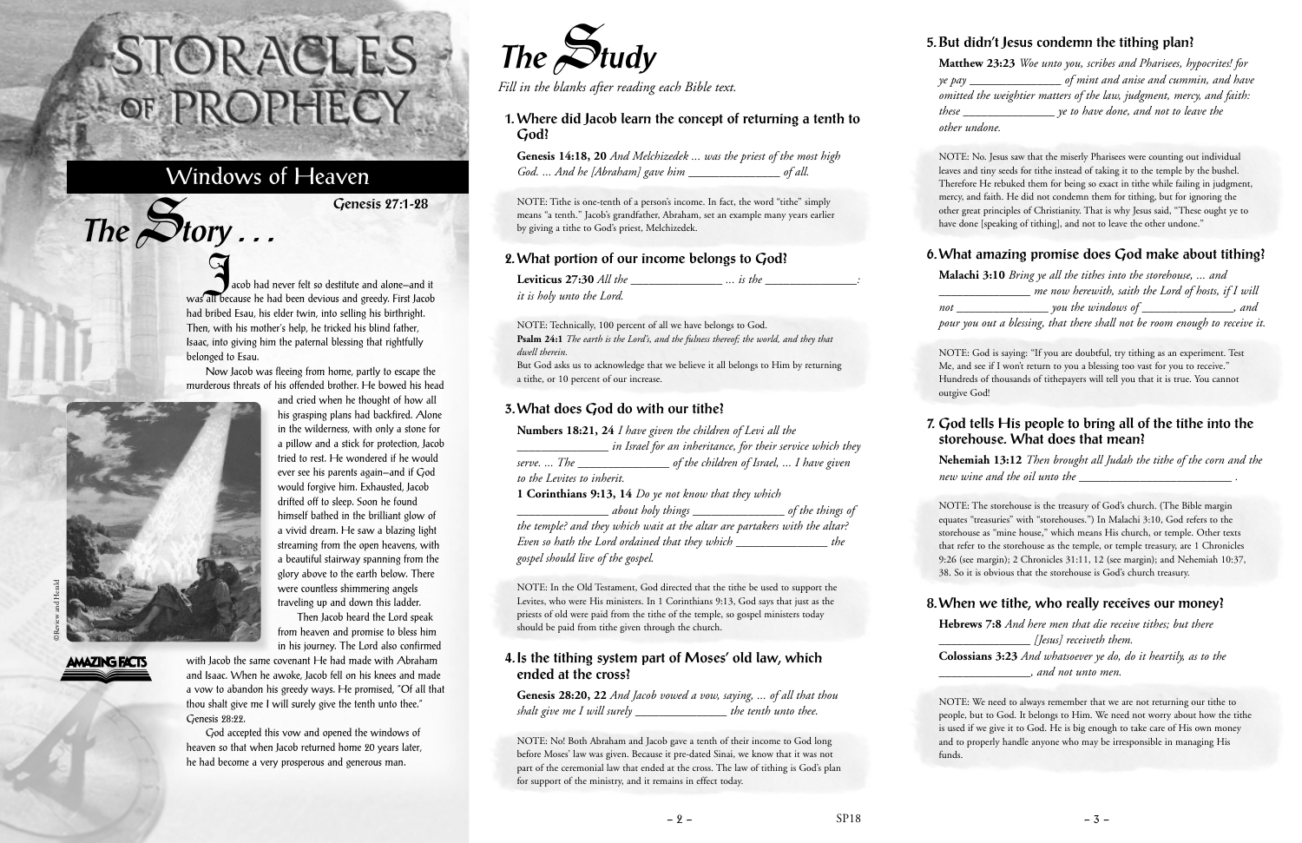acob had never felt so destitute and alone—and it<br>Also had never felt so destitute and alone—and it was all because he had been devious and greedy. First Jacob had bribed Esau, his elder twin, into selling his birthright. Then, with his mother's help, he tricked his blind father, Isaac, into giving him the paternal blessing that rightfully belonged to Esau.

Now Jacob was fleeing from home, partly to escape the murderous threats of his offended brother. He bowed his head and cried when he thought of how all

> his grasping plans had backfired. Alone in the wilderness, with only a stone for a pillow and a stick for protection, Jacob tried to rest. He wondered if he would ever see his parents again—and if God would forgive him. Exhausted, Jacob drifted off to sleep. Soon he found himself bathed in the brilliant glow of a vivid dream. He saw a blazing light streaming from the open heavens, with a beautiful stairway spanning from the glory above to the earth below. There were countless shimmering angels traveling up and down this ladder. Then Jacob heard the Lord speak from heaven and promise to bless him



 $The$  $S$ **tory** ...

in his journey. The Lord also confirmed with Jacob the same covenant He had made with Abraham and Isaac. When he awoke, Jacob fell on his knees and made a vow to abandon his greedy ways. He promised, "Of all that thou shalt give me I will surely give the tenth unto thee." Genesis 28:22.

God accepted this vow and opened the windows of heaven so that when Jacob returned home 20 years later, he had become a very prosperous and generous man.

# STORACLES -OF PROPHECY

## Windows of Heaven

**Genesis 27:1-28**



*Fill in the blanks after reading each Bible text.*

#### **1. Where did Jacob learn the concept of returning a tenth to God?**

**Genesis 14:18, 20** *And Melchizedek ... was the priest of the most high God. ... And he [Abraham] gave him \_\_\_\_\_\_\_\_\_\_\_\_\_\_\_ of all.*

NOTE: Tithe is one-tenth of a person's income. In fact, the word "tithe" simply means "a tenth." Jacob's grandfather, Abraham, set an example many years earlier by giving a tithe to God's priest, Melchizedek.

#### **2. What portion of our income belongs to God?**

NOTE: No. Jesus saw that the miserly Pharisees were counting out individual leaves and tiny seeds for tithe instead of taking it to the temple by the bushel. Therefore He rebuked them for being so exact in tithe while failing in judgment, mercy, and faith. He did not condemn them for tithing, but for ignoring the other great principles of Christianity. That is why Jesus said, "These ought ye to have done [speaking of tithing], and not to leave the other undone."

| <b>Leviticus 27:30</b> All the | $\ldots$ is the |  |
|--------------------------------|-----------------|--|
| it is holy unto the Lord.      |                 |  |

NOTE: Technically, 100 percent of all we have belongs to God. **Psalm 24:1** *The earth is the Lord's, and the fulness thereof; the world, and they that dwell therein.* But God asks us to acknowledge that we believe it all belongs to Him by returning a tithe, or 10 percent of our increase.

#### **3. What does God do with our tithe?**

| Numbers 18:21, 24 I have given the children of Levi all the |                                                            |  |  |  |
|-------------------------------------------------------------|------------------------------------------------------------|--|--|--|
|                                                             | in Israel for an inheritance, for their service which they |  |  |  |
| serve.  The                                                 | of the children of Israel,  I have given                   |  |  |  |
| to the Levites to inherit.                                  |                                                            |  |  |  |
|                                                             | 1 Corinthians 9:13, 14 Do ye not know that they which      |  |  |  |

*\_\_\_\_\_\_\_\_\_\_\_\_\_\_\_ about holy things \_\_\_\_\_\_\_\_\_\_\_\_\_\_\_ of the things of the temple? and they which wait at the altar are partakers with the altar? Even so hath the Lord ordained that they which \_\_\_\_\_\_\_\_\_\_\_\_\_\_\_ the gospel should live of the gospel.*

NOTE: In the Old Testament, God directed that the tithe be used to support the Levites, who were His ministers. In 1 Corinthians 9:13, God says that just as the priests of old were paid from the tithe of the temple, so gospel ministers today should be paid from tithe given through the church.

#### **4. Is the tithing system part of Moses' old law, which ended at the cross?**

**Genesis 28:20, 22** *And Jacob vowed a vow, saying, ... of all that thou shalt give me I will surely \_\_\_\_\_\_\_\_\_\_\_\_\_\_\_ the tenth unto thee.*

NOTE: No! Both Abraham and Jacob gave a tenth of their income to God long before Moses' law was given. Because it pre-dated Sinai, we know that it was not part of the ceremonial law that ended at the cross. The law of tithing is God's plan for support of the ministry, and it remains in effect today.

#### **5. But didn't Jesus condemn the tithing plan?**

**Matthew 23:23** *Woe unto you, scribes and Pharisees, hypocrites! for ye pay \_\_\_\_\_\_\_\_\_\_\_\_\_\_\_ of mint and anise and cummin, and have omitted the weightier matters of the law, judgment, mercy, and faith: these \_\_\_\_\_\_\_\_\_\_\_\_\_\_\_ ye to have done, and not to leave the other undone.*

#### **6. What amazing promise does God make about tithing?**

**Malachi 3:10** *Bring ye all the tithes into the storehouse, ... and \_\_\_\_\_\_\_\_\_\_\_\_\_\_\_ me now herewith, saith the Lord of hosts, if I will not \_\_\_\_\_\_\_\_\_\_\_\_\_\_\_ you the windows of \_\_\_\_\_\_\_\_\_\_\_\_\_\_\_, and pour you out a blessing, that there shall not be room enough to receive it.*

NOTE: God is saying: "If you are doubtful, try tithing as an experiment. Test Me, and see if I won't return to you a blessing too vast for you to receive." Hundreds of thousands of tithepayers will tell you that it is true. You cannot outgive God!

### **7. God tells His people to bring all of the tithe into the storehouse. What does that mean? Nehemiah 13:12** *Then brought all Judah the tithe of the corn and the*

*new wine and the oil unto the \_\_\_\_\_\_\_\_\_\_\_\_\_\_\_\_\_\_\_\_\_\_\_\_\_ .*

NOTE: The storehouse is the treasury of God's church. (The Bible margin equates "treasuries" with "storehouses.") In Malachi 3:10, God refers to the storehouse as "mine house," which means His church, or temple. Other texts that refer to the storehouse as the temple, or temple treasury, are 1 Chronicles 9:26 (see margin); 2 Chronicles 31:11, 12 (see margin); and Nehemiah 10:37, 38. So it is obvious that the storehouse is God's church treasury.

#### **8. When we tithe, who really receives our money?**

**Hebrews 7:8** *And here men that die receive tithes; but there \_\_\_\_\_\_\_\_\_\_\_\_\_\_\_ [Jesus] receiveth them.* **Colossians 3:23** *And whatsoever ye do, do it heartily, as to the \_\_\_\_\_\_\_\_\_\_\_\_\_\_\_, and not unto men.*

NOTE: We need to always remember that we are not returning our tithe to people, but to God. It belongs to Him. We need not worry about how the tithe is used if we give it to God. He is big enough to take care of His own money and to properly handle anyone who may be irresponsible in managing His funds.